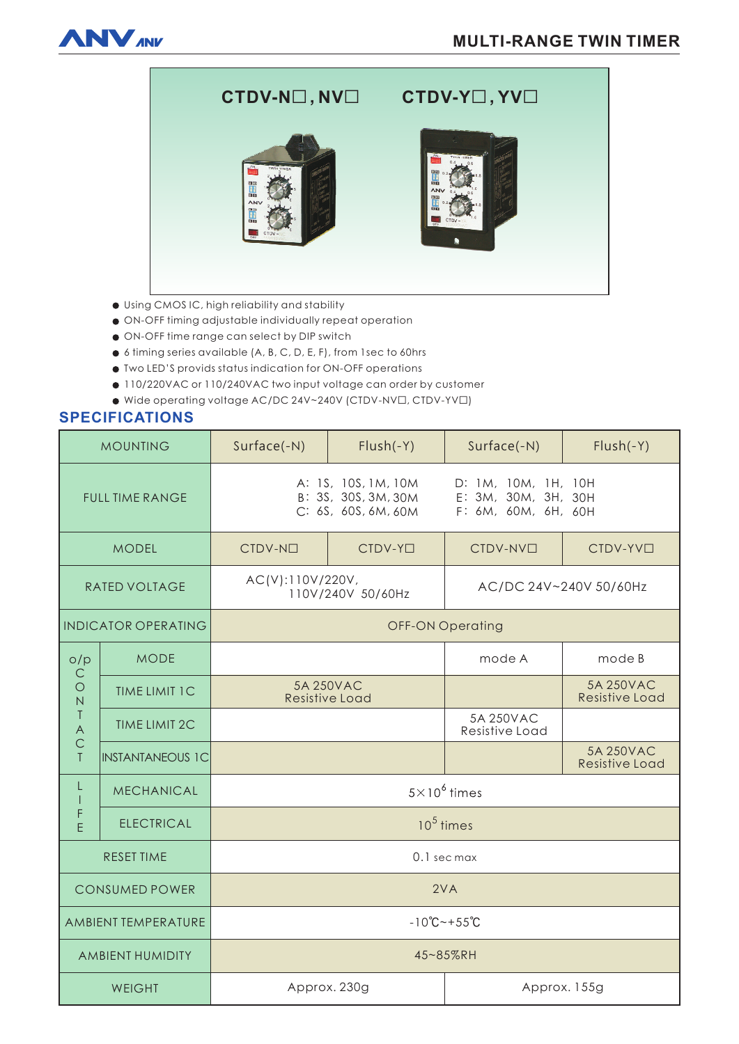



- Using CMOS IC, high reliability and stability
- ON-OFF timing adjustable individually repeat operation
- ON-OFF time range can select by DIP switch
- 6 timing series available (A, B, C, D, E, F), from 1sec to 60hrs
- Two LED'S provids status indication for ON-OFF operations
- 110/220VAC or 110/240VAC two input voltage can order by customer
- Wide operating voltage AC/DC 24V~240V (CTDV-NV口, CTDV-YV口)

# **SPECIFICATIONS**

| <b>MOUNTING</b>                                                                                                 |                         | Surface(-N)                                                       | $Flush(-Y)$ | Surface(-N)                                                       | Flush(-Y)                          |
|-----------------------------------------------------------------------------------------------------------------|-------------------------|-------------------------------------------------------------------|-------------|-------------------------------------------------------------------|------------------------------------|
| <b>FULL TIME RANGE</b>                                                                                          |                         | A: 1S, 10S, 1M, 10M<br>B: 3S, 30S, 3M, 30M<br>C: 6S, 60S, 6M, 60M |             | D: 1M, 10M, 1H, 10H<br>E: 3M, 30M, 3H, 30H<br>F: 6M, 60M, 6H, 60H |                                    |
| <b>MODEL</b>                                                                                                    |                         | CTDV-NO                                                           | CTDV-YO     | CTDV-NV <sup>I</sup>                                              | CTDV-YV <sub>D</sub>               |
| <b>RATED VOLTAGE</b>                                                                                            |                         | AC(V):110V/220V,<br>110V/240V 50/60Hz                             |             | AC/DC 24V~240V 50/60Hz                                            |                                    |
| <b>INDICATOR OPERATING</b>                                                                                      |                         | <b>OFF-ON Operating</b>                                           |             |                                                                   |                                    |
| o/p<br>C<br>$\bigcirc$<br>$\overline{N}$<br>$\top$<br>$\overline{\mathsf{A}}$<br>$\overline{C}$<br>$\mathsf{T}$ | <b>MODE</b>             |                                                                   |             | mode A                                                            | mode B                             |
|                                                                                                                 | TIME LIMIT 1C           | 5A 250VAC<br>Resistive Load                                       |             |                                                                   | 5A 250VAC<br>Resistive Load        |
|                                                                                                                 | TIME LIMIT 2C           |                                                                   |             | 5A 250VAC<br>Resistive Load                                       |                                    |
|                                                                                                                 | <b>INSTANTANEOUS 1C</b> |                                                                   |             |                                                                   | 5A 250VAC<br><b>Resistive Load</b> |
| L<br>F<br>E                                                                                                     | <b>MECHANICAL</b>       | $5\times10^6$ times                                               |             |                                                                   |                                    |
|                                                                                                                 | <b>ELECTRICAL</b>       | $105$ times                                                       |             |                                                                   |                                    |
| <b>RESET TIME</b>                                                                                               |                         | 0.1 sec max                                                       |             |                                                                   |                                    |
| <b>CONSUMED POWER</b>                                                                                           |                         | 2VA                                                               |             |                                                                   |                                    |
| AMBIENT TEMPERATURE                                                                                             |                         | $-10^{\circ}$ C ~ + 55 $^{\circ}$ C                               |             |                                                                   |                                    |
| <b>AMBIENT HUMIDITY</b>                                                                                         |                         | 45~85%RH                                                          |             |                                                                   |                                    |
| <b>WEIGHT</b>                                                                                                   |                         | Approx. 230g                                                      |             | Approx. 155g                                                      |                                    |